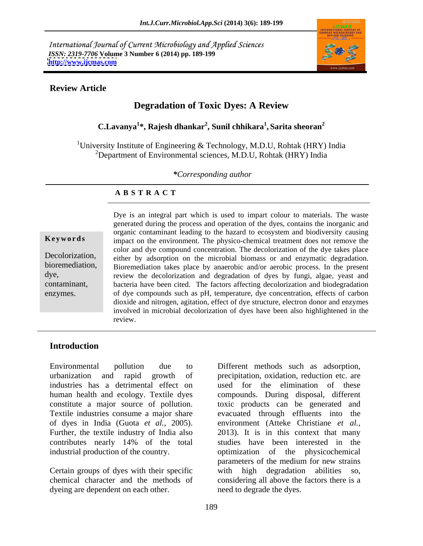International Journal of Current Microbiology and Applied Sciences *ISSN: 2319-7706* **Volume 3 Number 6 (2014) pp. 189-199 <http://www.ijcmas.com>**



### **Review Article**

# **Degradation of Toxic Dyes: A Review**

**C.Lavanya<sup>1</sup> \*, Rajesh dhankar<sup>2</sup> , Sunil chhikara<sup>1</sup> , Sarita sheoran<sup>2</sup>**

<sup>1</sup>University Institute of Engineering & Technology, M.D.U, Rohtak (HRY) India  $^{2}$ Department of Environmental sciences, M.D.U, Rohtak (HRY) India

*\*Corresponding author* 

### **A B S T R A C T**

**Keywords** impact on the environment. The physico-chemical treatment does not remove the Decolorization, either by adsorption on the microbial biomass or and enzymatic degradation. bioremediation, Bioremediation takes place by anaerobic and/or aerobic process. In the present dye, **review the decolorization and degradation** of dyes by fungi, algae, yeast and contaminant, bacteria have been cited. The factors affecting decolorization and biodegradation Example 19 and integral part which is used to impart colour to materials. The waste<br>generated during the process and operation of the dyes, contains the inorganic and<br>organic contaminant leading to the hazard to ecosystem generated during the process and operation of the dyes, contains the inorganic and organic contaminant leading to the hazard to ecosystem and biodiversity causing color and dye compound concentration. The decolorization of the dye takes place of dye compounds such as pH, temperature, dye concentration, effects of carbon dioxide and nitrogen, agitation, effect of dye structure, electron donor and enzymes involved in microbial decolorization of dyes have been also highlightened in the review.

# **Introduction**

Environmental pollution due to Different methods such as adsorption, urbanization and rapid growth of precipitation, oxidation, reduction etc. are industries has a detrimental effect on used for the elimination of these human health and ecology. Textile dyes compounds. During disposal, different constitute a major source of pollution. toxic products can be generated and Textile industries consume a major share evacuated through effluents into the of dyes in India (Guota *et al.,* 2005). environment (Atteke Christiane *et al.,* Further, the textile industry of India also 2013). It is in this context that many contributes nearly 14% of the total industrial production of the country. The optimization of the physicochemical

Certain groups of dyes with their specific with high degradation abilities so, dyeing are dependent on each other.

chemical character and the methods of considering all above the factors there is a studies have been interested in the parameters of the medium for new strains with high degradation abilities so, need to degrade the dyes.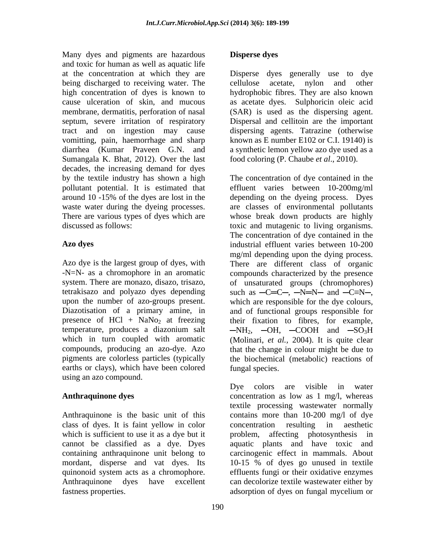Many dyes and pigments are hazardous **Disperse dyes** and toxic for human as well as aquatic life at the concentration at which they are Disperse dyes generally use to dye being discharged to receiving water. The cellulose acetate, nylon and other high concentration of dyes is known to hydrophobic fibres. They are also known cause ulceration of skin, and mucous as acetate dyes. Sulphoricin oleic acid membrane, dermatitis, perforation of nasal (SAR) is used as the dispersing agent. septum, severe irritation of respiratory Dispersal and cellitoin are the important tract and on ingestion may cause dispersing agents. Tatrazine (otherwise vomitting, pain, haemorrhage and sharp known as E number E102 or C.I. 19140) is diarrhea (Kumar Praveen G.N. and a synthetic lemon yellow azo dye used as a Sumangala K. Bhat, 2012). Over the last decades, the increasing demand for dyes

system. There are monazo, disazo, trisazo, presence of  $HCl + NaNo<sub>2</sub>$  at freezing earths or clays), which have been colored using an azo compound.

class of dyes. It is faint yellow in color fastness properties. The absorption of dyes on fungal mycelium or

# **Disperse dyes**

cellulose acetate, nylon and other food coloring (P. Chaube *et al*., 2010).

by the textile industry has shown a high The concentration of dye contained in the pollutant potential. It is estimated that effluent varies between 10-200mg/ml around 10 -15% of the dyes are lost in the depending on the dyeing process. Dyes waste water during the dyeing processes. are classes of environmental pollutants There are various types of dyes which are whose break down products are highly discussed as follows: toxic and mutagenic to living organisms. **Azo dyes** industrial effluent varies between 10-200 Azo dye is the largest group of dyes, with There are different class of organic -N=N- as a chromophore in an aromatic compounds characterized by the presence tetrakisazo and polyazo dyes depending such as  $-C=C-, -N=N-$  and  $-C=N-,$ upon the number of azo-groups present. which are responsible for thedye colours, Diazotisation of a primary amine, in and of functional groups responsible for temperature, produces a diazonium salt  $-NH_2$ ,  $-OH$ ,  $-COOH$  and  $-SO_3H$ which in turn coupled with aromatic (Molinari, *et al.,* 2004). It is quite clear compounds, producing an azo-dye. Azo that the change in colour might be due to pigments are colorless particles (typically the biochemical (metabolic) reactions of The concentration of dye contained in the mg/ml depending upon the dying process. of unsaturated groups (chromophores) their fixation to fibres, for example, fungal species.

Anthraquinone dyes concentration as low as 1 mg/l, whereas Anthraquinone is the basic unit of this contains more than 10-200 mg/l of dye which is sufficient to use it as a dye but it problem, affecting photosynthesis in cannot be classified as a dye. Dyes aquatic plants and have toxic and containing anthraquinone unit belong to carcinogenic effect in mammals. About mordant, disperse and vat dyes. Its 10-15 % of dyes go unused in textile quinonoid system acts as a chromophore. effluents fungi or their oxidative enzymes Anthraquinone dyes have excellent can decolorize textile wastewater either by Dye colors are visible in water textile processing wastewater normally concentration resulting in aesthetic adsorption of dyes on fungal mycelium or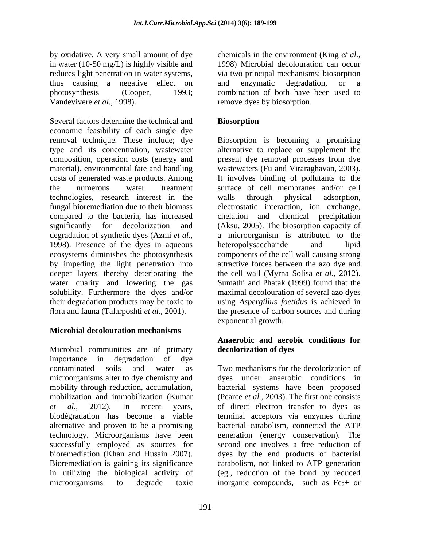by oxidative. A very small amount of dye chemicals in the environment (King *et al.,* in water (10-50 mg/L) is highly visible and reduces light penetration in water systems, via two principal mechanisms: biosorption thus causing a negative effect on and enzymatic degradation, or a photosynthesis (Cooper, 1993; combination of both have been used to Vandevivere *et al.*, 1998). The remove dyes by biosorption.

Several factors determine the technical and **Biosorption** economic feasibility of each single dye removal technique. These include; dye Biosorption is becoming a promising type and its concentration, wastewater alternative to replace or supplement the composition, operation costs (energy and present dye removal processes from dye material), environmental fate and handling wastewaters (Fu and Viraraghavan, 2003). costs of generated waste products. Among It involves binding of pollutants to the the numerous water treatment surface of cell membranes and/or cell technologies, research interest in the walls through physical adsorption, fungal bioremediation due to their biomass electrostatic interaction, ion exchange, compared to the bacteria, has increased chelation and chemical precipitation significantly for decolorization and (Aksu, 2005). The biosorption capacity of degradation of synthetic dyes (Azmi *et al*., a microorganism is attributed to the 1998). Presence of the dyes in aqueous heteropolysaccharide and lipid ecosystems diminishes the photosynthesis components of the cell wall causing strong by impeding the light penetration into deeper layers thereby deteriorating the the cell wall (Myrna Solísa *et al.,* 2012). water quality and lowering the gas solubility. Furthermore the dyes and/or their degradation products may be toxic to using *Aspergillus foetidus* is achieved in

# **Microbial decolouration mechanisms**

Microbial communities are of primary importance in degradation of dye contaminated soils and water as Two mechanisms for the decolorization of microorganisms alter to dye chemistry and mobility through reduction, accumulation, bacterial systems have been proposed mobilization and immobilization (Kumar (Pearce *et al.,* 2003). The first one consists *et al.,* 2012). In recent years, of direct electron transfer to dyes as biodégradation has become a viable terminal acceptors via enzymes during alternative and proven to be a promising technology. Microorganisms have been generation (energy conservation). The successfully employed as sources for bioremediation (Khan and Husain 2007). dyes by the end products of bacterial Bioremediation is gaining its significance catabolism, not linked to ATP generation in utilizing the biological activity of microorganisms to degrade toxic inorganic compounds, such as  $Fe<sub>2</sub>$ + or

1998) Microbial decolouration can occur and enzymatic degradation, or a

# **Biosorption**

ora and fauna (Talarposhti *et al.,* 2001). the presence of carbon sources and during walls through physical adsorption, a microorganism is attributed to the heteropolysaccharide and lipid attractive forces between the azo dye and Sumathi and Phatak (1999) found that the maximal decolouration of several azo dyes exponential growth.

## **Anaerobic and aerobic conditions for decolorization of dyes**

dyes under anaerobic conditions in bacterial catabolism, connected the ATP second one involves a free reduction of (eg., reduction of the bond by reduced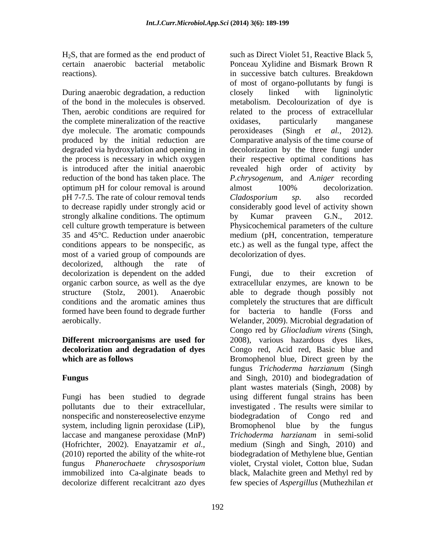$H<sub>2</sub>S$ , that are formed as the end product of

During anaerobic degradation, a reduction closely linked with ligninolytic of the bond in the molecules is observed. Then, aerobic conditions are required for the process of extracellular the complete mineralization of the reactive oxides oxides particularly manganese dye molecule. The aromatic compounds peroxideases (Singh et al., 2012). produced by the initial reduction are Comparative analysis of the time course of degraded via hydroxylation and opening in decolorization by the three fungi under the process is necessary in which oxygen their respective optimal conditions has is introduced after the initial anaerobic revealed high order of activity by reduction of the bond has taken place. The *P.chrysogenum*, and *A.niger* recording optimum pH for colour removal is around almost 100% decolorization. pH 7-7.5. The rate of colour removal tends Cladosporium sp. also recorded to decrease rapidly under strongly acid or considerably good level of activity shown strongly alkaline conditions. The optimum by Kumar praveen G.N., 2012. cell culture growth temperature is between Physicochemical parameters of the culture 35 and 45°C. Reduction under anaerobic medium (pH, concentration, temperature conditions appears to be nonspecific, as etc.) as well as the fungal type, affect the most of a varied group of compounds are decolorized, although the rate of decolorization is dependent on the added Fungi, due to their excretion of organic carbon source, as well as the dye

# **decolorization and degradation of dyes**

Fungi has been studied to degrade nonspecific and nonstereoselective enzyme biodegradation of Congo red and system, including lignin peroxidase (LiP), Bromophenol blue by the fungus laccase and manganese peroxidase (MnP) decolorize different recalcitrant azo dyes few species of *Aspergillus* (Muthezhilan *et* 

certain anaerobic bacterial metabolic Ponceau Xylidine and Bismark Brown R reactions). in successive batch cultures. Breakdown such as Direct Violet 51, Reactive Black 5, of most of organo-pollutants by fungi is closely linked with ligninolytic metabolism. Decolourization of dye is related to the process of extracellular oxidases, particularly manganese peroxideases (Singh *et al.,* almost 100% decolorization. *Cladosporium sp.* also recorded by Kumar praveen G.N., 2012. decolorization of dyes.

structure (Stolz, 2001). Anaerobic able to degrade though possibly not conditions and the aromatic amines thus completely the structures that are difficult formed have been found to degrade further for bacteria to handle (Forss and aerobically. Welander, 2009). Microbial degradation of **Different microorganisms are used for** 2008), various hazardous dyes likes, **which are as follows** Bromophenol blue, Direct green by the **Fungus** and Singh, 2010) and biodegradation of pollutants due to their extracellular, investigated . The results were similar to (Hofrichter, 2002). Enayatzamir *et al.,* medium (Singh and Singh, 2010) and (2010) reported the ability of the white-rot biodegradation of Methylene blue, Gentian fungus *Phanerochaete chrysosporium* violet, Crystal violet, Cotton blue, Sudan immobilized into Ca-alginate beads to black, Malachite green and Methylred by Fungi, due to their excretion of extracellular enzymes, are known to be Congo red by *Gliocladium virens* (Singh, Congo red, Acid red, Basic blue and fungus *Trichoderma harzianum* (Singh plant wastes materials (Singh, 2008) by using different fungal strains has been biodegradation of Congo red and Bromophenol blue by the fungus *Trichoderma harzianam* in semi-solid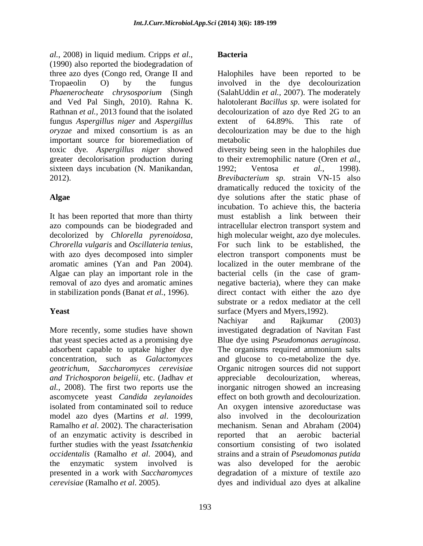*al.*, 2008) in liquid medium. Cripps *et al*., (1990) also reported the biodegradation of three azo dyes (Congo red, Orange II and Halophiles have been reported to be Tropaeolin O) by the fungus involved in the dye decolourization *Phaenerocheate chrysosporium* (Singh (SalahUddin *et al.,* 2007). The moderately and Ved Pal Singh, 2010). Rahna K. Rathnan *et al.*, 2013 found that the isolated decolourization of a zo dye Red 2G to an fungus *Aspergillus niger* and *Aspergillus oryzae* and mixed consortium is as an decolourization may be due to the high important source for bioremediation of sixteen days incubation (N. Manikandan, 1992; Ventosa et al., 1998).

It has been reported that more than thirty azo compounds can be biodegraded and intracellular electron transport system and aromatic amines (Yan and Pan 2004). in stabilization ponds (Banat *et al.*, 1996).

that yeast species acted as a promising dye Blue dye using *Pseudomonas aeruginosa*. adsorbent capable to uptake higher dye *and Trichosporon beigelii,* etc. (Jadhav *et*  Ramalho *et al*. 2002). The characterisation of an enzymatic activity is described in

# **Bacteria**

halotolerant *Bacillus sp*. were isolated for decolourization of azo dye Red 2G to an extent of 64.89%. This rate of metabolic

toxic dye*. Aspergillus niger* showed diversity being seen in the halophiles due greater decolorisation production during to their extremophilic nature (Oren *et al.,* 2012). *Brevibacterium sp.* strain VN-15 also **Algae** dye solutions after the static phase of decolorized by *Chlorella pyrenoidosa,* high molecular weight, azo dye molecules. *Chrorella vulgaris* and *Oscillateria tenius*, For such link to be established, the with azo dyes decomposed into simpler electron transport components must be Algae can play an important role in the bacterial cells (in the case of gram removal of azo dyes and aromatic amines negative bacteria), where they can make **Yeast** surface (Myers and Myers, 1992). 1992; Ventosa *et al.,* 1998). dramatically reduced the toxicity of the incubation. To achieve this, the bacteria must establish a link between their intracellular electron transport system and For such link to be established, the electron transport components must be localized in the outer membrane of the direct contact with either the azo dye substrate or a redox mediator at the cell

More recently, some studies have shown investigated degradation of Navitan Fast concentration, such as *Galactomyces* and glucose to co-metabolize the dye. *geotrichum, Saccharomyces cerevisiae* Organic nitrogen sources did not support *al.,* 2008). The first two reports use the inorganic nitrogen showed an increasing ascomycete yeast *Candida zeylanoides* effect on both growth and decolourization. isolated from contaminated soil to reduce An oxygen intensive azoreductase was model azo dyes (Martins *et al*. 1999, also involved in the decolourization further studies with the yeast *Issatchenkia*  consortium consisting of two isolated *occidentalis* (Ramalho *et al*. 2004), and strains and a strain of *Pseudomonas putida*  the enzymatic system involved is was also developed for the aerobic presented in a work with *Saccharomyces*  degradation of a mixture of textile azo *cerevisiae* (Ramalho *et al*. 2005). dyes and individual azo dyes at alkalineNachiyar and Rajkumar (2003) Blue dye using *Pseudomonas aeruginosa*. The organisms required ammonium salts appreciable decolourization, whereas, mechanism. Senan and Abraham (2004) reported that an aerobic bacterial was also developed for the aerobic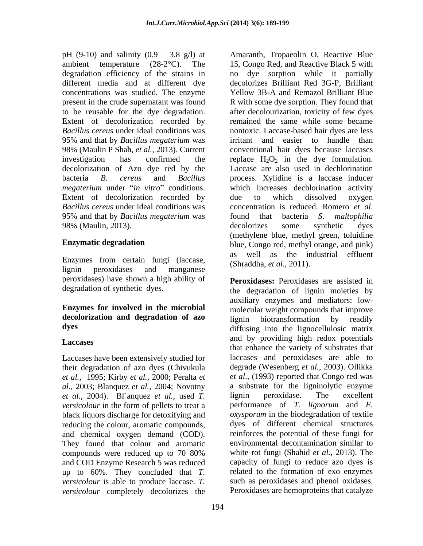concentrations was studied. The enzyme 95% and that by *Bacillus megaterium* was decolorization of Azo dye red by the Extent of decolorization recorded by due to which dissolved oxygen *Bacillus cereus* under ideal conditions was 95% and that by *Bacillus megaterium* was 98% (Maulin, 2013). decolorizes some synthetic dyes

Enzymes from certain fungi (laccase, lignin peroxidases and manganese (Stratedia, et al., 2011). peroxidases) have shown a high ability of **Peroxidases:** Peroxidases are assisted in

# **Enzymes for involved in the microbial** molecular weight compounds that improve **decolorization and degradation of azo**

Laccases have been extensively studied for their degradation of azo dyes (Chivukula *et al.,* 1995; Kirby *et al.,* 2000; Peralta *et al.,* 2003; Blanquez *et al.,* 2004; Novotny *et al.,* 2004). Bl´anquez *et al.,* used *T. versicolour* in the form of pellets to treat a black liquors discharge for detoxifying and reducing the colour, aromatic compounds, and chemical oxygen demand (COD). They found that colour and aromatic compounds were reduced up to 70–80% and COD Enzyme Research 5 was reduced up to 60%. They concluded that *T. versicolour* is able to produce laccase. *T. versicolour* completely decolorizes the

pH (9-10) and salinity (0.9 3.8 g/l) at Amaranth, Tropaeolin O, Reactive Blue ambient temperature (28-2°C). The 15, Congo Red, and Reactive Black 5 with degradation efficiency of the strains in no dye sorption while it partially different media and at different dye decolorizes Brilliant Red 3G-P, Brilliant present in the crude supernatant was found R with some dye sorption. They found that to be reusable for the dye degradation. after decolourization, toxicity of few dyes Extent of decolorization recorded by remained the same while some became *Bacillus cereus* under ideal conditions was nontoxic. Laccase-based hair dyes are less 98% (Maulin P Shah, *et al.,* 2013). Current conventional hair dyes because laccases investigation has confirmed the replace  $H_2O_2$  in the dye formulation. bacteria *B. cereus* and *Bacillus*  process. Xylidine is a laccase inducer *megaterium* under "*in vitro*" conditions. Which increases dechlorination activity **Enzymatic degradation** blue, Congo red, methyl orange, and pink) Yellow 3B-A and Remazol Brilliant Blue irritant and easier to handle than Laccase are also used in dechlorination due to which dissolved oxygen concentration is reduced. Romero *et al*. found that bacteria *S. maltophilia*  decolorizes some synthetic dyes (methylene blue, methyl green, toluidine as well as the industrial effluent (Shraddha, *et al.,* 2011).

degradation of synthetic dyes. the degradation of lignin moieties by **dyes** diffusing into the lignocellulosic matrix Laccases and by providing high redox potentials<br>that enhance the variety of substrates that auxiliary enzymes and mediators: low-molecular weight compounds that improve lignin biotransformation by readily and by providing high redox potentials laccases and peroxidases are able to degrade (Wesenberg *et al.,* 2003). Ollikka *et al*., (1993) reported that Congo red was a substrate for the ligninolytic enzyme lignin peroxidase. The excellent performance of *T. lignorum* and *F. oxysporum* in the biodegradation of textile dyes of different chemical structures reinforces the potential of these fungi for environmental decontamination similar to white rot fungi (Shahid *et al.,* 2013). The capacity of fungi to reduce azo dyes is related to the formation of exo enzymes such as peroxidases and phenol oxidases. Peroxidases are hemoproteins that catalyze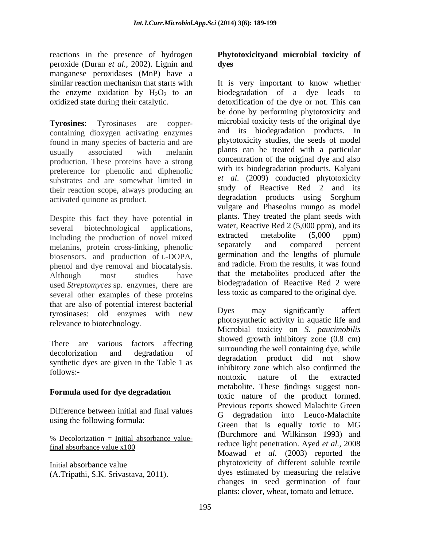reactions in the presence of hydrogen Phytotoxicity and microbial toxicity of peroxide (Duran *et al.,* 2002). Lignin and manganese peroxidases (MnP) have a

containing dioxygen activating enzymes found in many species of bacteria and are production. These proteins have a strong preference for phenolic and diphenolic substrates and are somewhat limited in their reaction scope, always producing an

Despite this fact they have potential in including the production of novel mixed<br>metabolite (5,000 ppm)<br>melaning protein cross-linking phenolic separately and compared percent melanins, protein cross-linking, phenolic biosensors, and production of L-DOPA, germination and the lengths of plumule<br>principle and product and property and radicle. From the results, it was found phenol and dye removal and biocatalysis. used *Streptomyces* sp. enzymes, there are several other examples of these proteins that are also of potential interest bacterial<br>tyresiness: eld enzymes with now Dyes may significantly affect tyrosinases: old enzymes with new relevance to biotechnology.

synthetic dyes are given in the Table 1 as

# **Formula used for dye degradation**

Difference between initial and final values using the following formula:

% Decolorization = Initial absorbance value-

# **dyes**

similar reaction mechanism that starts with It is very important to know whether the enzyme oxidation by  $H_2O_2$  to an biodegradation of a dye leads to oxidized state during their catalytic. detoxification of the dye or not. This can **Tyrosines**: Tyrosinases are copper- microbial toxicity tests of the original dye usually associated with melanin plants can be treated with a particular activated quinone as product. degradation products using Sorghum several biotechnological applications, water, Reactive Red 2 (5,000 ppm), and its Although most studies have that the metabolites produced after the reactions in the presence of hydrogen (Fig. to any intervolvid footicity of the managemes percoxidates (Mark) have a histographic control by the south of the south of the south of the south of the south of the south of the be done by performing phytotoxicity and and its biodegradation products. In phytotoxicity studies, the seeds of model plants can be treated with a particular concentration of the original dye and also with its biodegradation products. Kalyani *et al*. (2009) conducted phytotoxicity study of Reactive Red 2 and its vulgare and Phaseolus mungo as model plants. They treated the plant seeds with extracted metabolite (5,000 ppm) separately and compared percent germination and the lengths of plumule and radicle. From the results, it was found biodegradation of Reactive Red 2 were less toxic as compared to the original dye.

There are various factors affecting  $\frac{\text{showed growth luminosity}}{\text{sumed to the well containing day, while}}$ decolorization and degradation of surfunding the went containing dye, while follows:-<br>follows:final absorbance value  $x100$  final absorbance value  $x100$  final absorbance value  $x100$ Initial absorbance value phytotoxicity of different soluble textile Dyes may significantly affect photosynthetic activity in aquatic life and Microbial toxicity on *S. paucimobilis* showed growth inhibitory zone (0.8 cm) surrounding the well containing dye, while degradation product did not show inhibitory zone which also confirmed the nontoxic nature of the extracted metabolite. These findings suggest nontoxic nature of the product formed. Previous reports showed Malachite Green G degradation into Leuco-Malachite Green that is equally toxic to MG (Burchmore and Wilkinson 1993) and reduce light penetration. Ayed *et al.,* 2008 Moawad *et al.* (2003) reported the dyes estimated by measuring the relative changes in seed germination of four plants: clover, wheat, tomato and lettuce.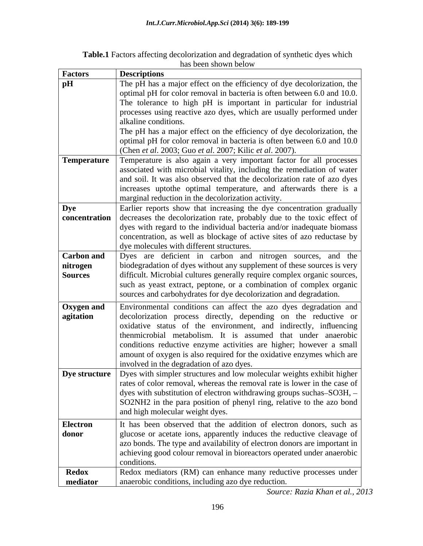| $7.11.1 \text{ Hz}$<br>0.0110<br>affecting<br>rization and degradation of s<br><b>Table.1</b> Fac.<br>synthetic ayes which |  |
|----------------------------------------------------------------------------------------------------------------------------|--|
| $\sim$ n shown below<br>. . 48 DCC                                                                                         |  |

| <b>Factors</b>                           | <b>Descriptions</b>                                                                                                                                                                                                                                                                                                                                                                                                                                               |
|------------------------------------------|-------------------------------------------------------------------------------------------------------------------------------------------------------------------------------------------------------------------------------------------------------------------------------------------------------------------------------------------------------------------------------------------------------------------------------------------------------------------|
| pH                                       | The pH has a major effect on the efficiency of dye decolorization, the<br>optimal pH for color removal in bacteria is often between 6.0 and 10.0.<br>The tolerance to high pH is important in particular for industrial                                                                                                                                                                                                                                           |
|                                          | processes using reactive azo dyes, which are usually performed under<br>alkaline conditions.<br>The pH has a major effect on the efficiency of dye decolorization, the                                                                                                                                                                                                                                                                                            |
|                                          | optimal pH for color removal in bacteria is often between 6.0 and 10.0<br>(Chen et al. 2003; Guo et al. 2007; Kilic et al. 2007).                                                                                                                                                                                                                                                                                                                                 |
| Temperature                              | Temperature is also again a very important factor for all processes<br>associated with microbial vitality, including the remediation of water<br>and soil. It was also observed that the decolorization rate of azo dyes<br>increases uptothe optimal temperature, and afterwards there is a<br>marginal reduction in the decolorization activity.                                                                                                                |
| <b>Dye</b>                               | Earlier reports show that increasing the dye concentration gradually<br>concentration decreases the decolorization rate, probably due to the toxic effect of<br>dyes with regard to the individual bacteria and/or inadequate biomass<br>concentration, as well as blockage of active sites of azo reductase by<br>dye molecules with different structures.                                                                                                       |
| <b>Carbon and</b><br>nitrogen<br>Sources | Dyes are deficient in carbon and nitrogen sources, and the<br>biodegradation of dyes without any supplement of these sources is very<br>difficult. Microbial cultures generally require complex organic sources,<br>such as yeast extract, peptone, or a combination of complex organic<br>sources and carbohydrates for dye decolorization and degradation.                                                                                                      |
| <b>Oxygen and</b><br>agitation           | Environmental conditions can affect the azo dyes degradation and<br>decolorization process directly, depending on the reductive or<br>oxidative status of the environment, and indirectly, influencing<br>thenmicrobial metabolism. It is assumed that under anaerobic<br>conditions reductive enzyme activities are higher; however a small<br>amount of oxygen is also required for the oxidative enzymes which are<br>involved in the degradation of azo dyes. |
|                                          | <b>Dye structure</b> Dyes with simpler structures and low molecular weights exhibit higher<br>rates of color removal, whereas the removal rate is lower in the case of<br>dyes with substitution of electron withdrawing groups suchas–SO3H, -<br>SO2NH2 in the para position of phenyl ring, relative to the azo bond<br>and high molecular weight dyes.                                                                                                         |
| <b>Electron</b><br>donor                 | It has been observed that the addition of electron donors, such as<br>glucose or acetate ions, apparently induces the reductive cleavage of<br>azo bonds. The type and availability of electron donors are important in<br>achieving good colour removal in bioreactors operated under anaerobic<br>conditions.                                                                                                                                                   |
| <b>Redox</b><br>mediator                 | Redox mediators (RM) can enhance many reductive processes under<br>anaerobic conditions, including azo dye reduction.                                                                                                                                                                                                                                                                                                                                             |

*Source: Razia Khan et al., 2013*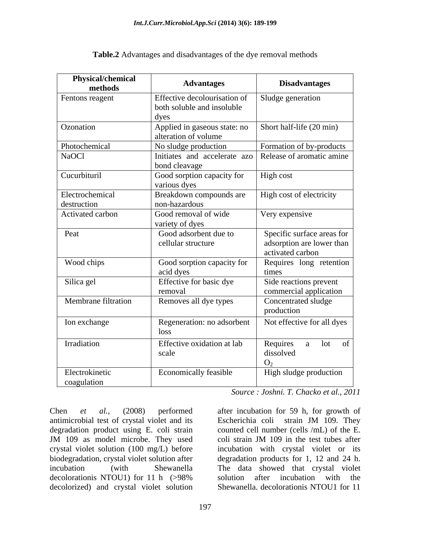| Physical/chemical<br>methods  | <b>Advantages</b>                                          | <b>Disadvantages</b>                             |
|-------------------------------|------------------------------------------------------------|--------------------------------------------------|
| Fentons reagent               | Effective decolourisation of<br>both soluble and insoluble | Sludge generation                                |
|                               | dyes                                                       |                                                  |
| Ozonation                     | Applied in gaseous state: no<br>alteration of volume       | Short half-life (20 min)                         |
| Photochemical                 | No sludge production                                       | Formation of by-products                         |
| NaOCl                         | Initiates and accelerate azo<br>bond cleavage              | Release of aromatic amine                        |
| Cucurbituril                  | Good sorption capacity for<br>various dyes                 | High cost                                        |
| Electrochemical               | Breakdown compounds are                                    | High cost of electricity                         |
| destruction                   | non-hazardous                                              |                                                  |
| Activated carbon              | Good removal of wide<br>variety of dyes                    | Very expensive                                   |
| Peat                          | Good adsorbent due to                                      | Specific surface areas for                       |
|                               | cellular structure                                         | adsorption are lower than<br>activated carbon    |
| Wood chips                    | Good sorption capacity for<br>acid dyes                    | Requires long retention<br>times                 |
| Silica gel                    | Effective for basic dye<br>removal                         | Side reactions prevent<br>commercial application |
| Membrane filtration           | Removes all dye types                                      | Concentrated sludge<br>production                |
| Ion exchange                  | Regeneration: no adsorbent<br>loss                         | Not effective for all dyes                       |
| Irradiation                   | Effective oxidation at lab                                 | a lot of<br>Requires                             |
|                               | scale                                                      | dissolved<br>O <sub>2</sub>                      |
| Electrokinetic<br>coagulation | Economically feasible                                      | High sludge production                           |

**Table.2** Advantages and disadvantages of the dye removal methods

*Source : Joshni. T. Chacko et al., 2011*

Chen *et al.,* (2008) performed after incubation for 59 h, for growth of antimicrobial test of crystal violet and its Escherichia coli strain JM 109. They degradation product using E. coli strain JM 109 as model microbe. They used coli strain JM 109 in the test tubes after crystal violet solution (100 mg/L) before biodegradation, crystal violet solution after degradation products for 1, 12 and 24 h. incubation (with Shewanella The data showed that crystal violet decolorationis NTOU1) for 11 h (>98% solution after incubation with the decolorized) and crystal violet solution

counted cell number (cells /mL) of the E. coli strain JM 109 in the test tubes after incubation with crystal violet or its solution after incubation with the Shewanella. decolorationis NTOU1 for 11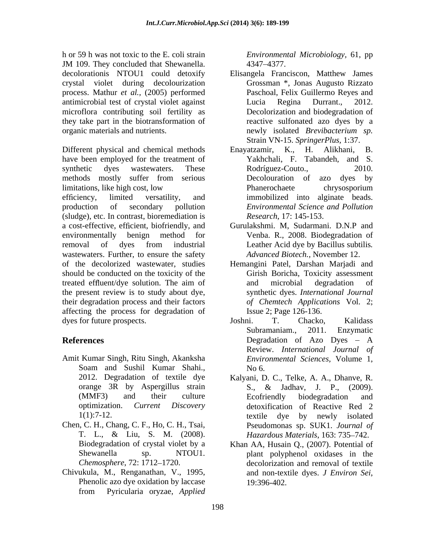h or 59 h was not toxic to the E. coli strain JM 109. They concluded that Shewanella. <br>
1347–4377. decolorationis NTOU1 could detoxify Elisangela Franciscon, Matthew James crystal violet during decolourization process. Mathur *et al.,* (2005) performed antimicrobial test of crystal violet against microflora contributing soil fertility as they take part in the biotransformation of organic materials and nutrients. The mew isolated *Brevibacterium* sp.

Different physical and chemical methods Enayatzamir, K., H. Alikhani, B. have been employed for the treatment of synthetic dyes wastewaters. These Rodríguez-Couto., 2010. methods mostly suffer from serious Decolouration of azo dyes by limitations, like high cost, low efficiency, limited versatility, and immobilized into alginate beads. production of secondary pollution *Environmental Science and Pollution* (sludge), etc. In contrast, bioremediation is a cost-effective, efficient, biofriendly, and

wastewaters. Further, to ensure the safety *Advanced Biotech*., November 12. should be conducted on the toxicity of the the present review is to study about dye, their degradation process and their factors affecting the process for degradation of

- Amit Kumar Singh, Ritu Singh, Akanksha
- Chen, C. H., Chang, C. F., Ho, C. H., Tsai,
- Chivukula, M., Renganathan, V., 1995, and non-textile dyes. *J Environ Sei*, Phenolic azo dye oxidation by laccase 19:396-402. from Pyricularia oryzae, *Applied*

*Environmental Microbiology,* 61, pp 4347 4377.

- Elisangela Franciscon, Matthew James Grossman \*, Jonas Augusto Rizzato Paschoal, Felix Guillermo Reyes and Lucia Regina Durrant., 2012. Decolorization and biodegradation of reactive sulfonated azo dyes by a newly isolated *Brevibacterium sp.* Strain VN-15. *SpringerPlus,* 1:37.
- Enayatzamir, K., H. Yakhchali, F. Tabandeh, and S. Rodríguez-Couto., 2010. Decolouration of azo dyes by Phanerochaete chrysosporium *Research*, 17: 145-153.
- environmentally benign method for Venba. R., 2008. Biodegradation of removal of dyes from industrial Gurulakshmi. M, Sudarmani. D.N.P and Leather Acid dye by Bacillus subtilis*. Advanced Biotech.,* November 12.
- of the decolorized wastewater, studies Hemangini Patel, Darshan Marjadi and treated effluent/dye solution. The aim of and microbial degradation of Girish Boricha, Toxicity assessment and microbial degradation of synthetic dyes. *International Journal of Chemtech Applications* Vol. 2; Issue 2; Page 126-136.
- dyes for future prospects. Soshni. T. Chacko, Kalidass **References Constanting Exercise 2 and 2** Degradation of Azo Dyes – A Soam and Sushil Kumar Shahi., Joshni. T. Chacko, Kalidass Subramaniam., 2011. Enzymatic Degradation of Azo Dyes A Review. *International Journal of Environmental Sciences,* Volume 1, No 6.
	- 2012. Degradation of textile dye Kalyani, D. C., Telke, A. A., Dhanve, R. orange 3R by Aspergillus strain S., & Jadhav, J. P., (2009). (MMF3) and their culture Ecofriendly biodegradation and optimization. *Current Discovery* detoxification of Reactive Red 2 1(1):7-12. textile dye by newly isolated T. L., & Liu, S. M. (2008). *Hazardous Materials*, 163: 735–742. S., & Jadhav, J. P., (2009). Ecofriendly biodegradation and textile dye by newly isolated Pseudomonas sp. SUK1. *Journal of Hazardous Materials*, 163: 735–742.
	- Biodegradation of crystal violet by a Khan AA, Husain Q., (2007). Potential of Shewanella sp. NTOU1. plant polyphenol oxidases in the *Chemosphere*, 72: 1712–1720. decolorization and removal of textile and non-textile dyes. *<sup>J</sup> Environ Sei*, 19:396-402.